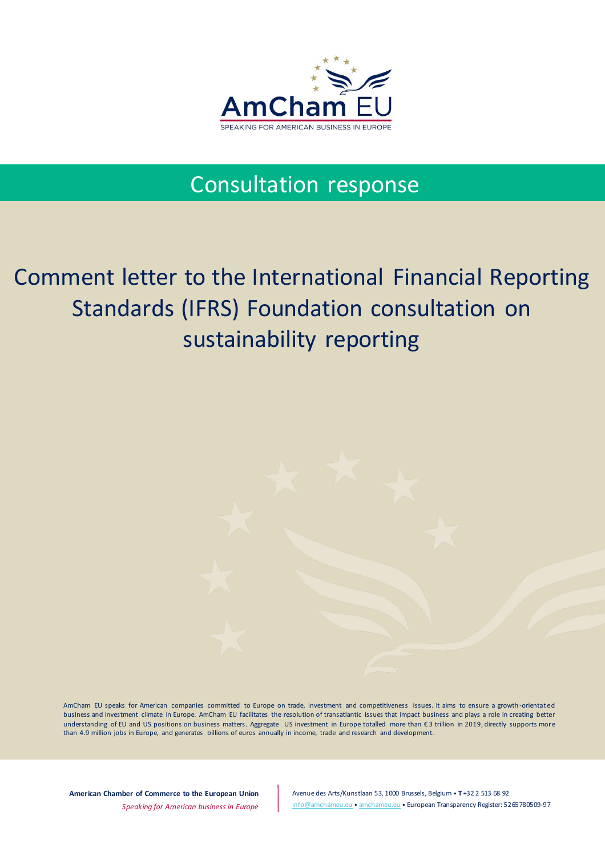

## Consultation response

## Comment letter to the International Financial Reporting Standards (IFRS) Foundation consultation on sustainability reporting

AmCham EU speaks for American companies committed to Europe on trade, investment and competitiveness issues. It aims to ensure a growth -orientated business and investment climate in Europe. AmCham EU facilitates the resolution of transatlantic issues that impact business and plays a role in creating better understanding of EU and US positions on business matters. Aggregate US investment in Europe totalled more than € 3 trillion in 2019, directly supports more than 4.9 million jobs in Europe, and generates billions of euros annually in income, trade and research and development.

**American Chamber of Commerce to the European Union** *Speaking for American business in Europe*

Avenue des Arts/Kunstlaan 53, 1000 Brussels, Belgium • **T** +32 2 513 68 92 [info@amchameu.eu](mailto:info@amchameu.eu) • [amchameu.eu](http://www.amchameu.eu/) • European Transparency Register: 5265780509-97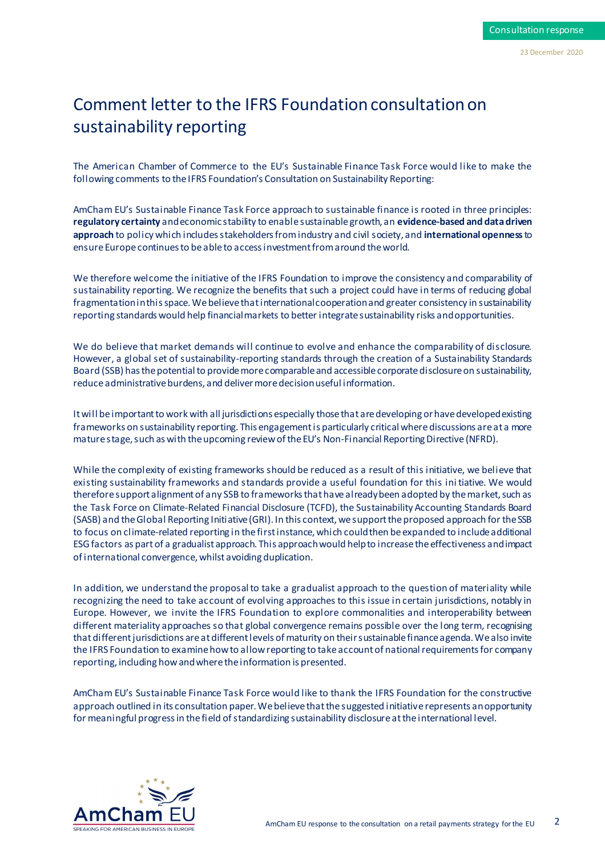## Comment letter to the IFRS Foundation consultation on sustainability reporting

The American Chamber of Commerce to the EU's Sustainable Finance Task Force would like to make the following comments to the IFRS Foundation's Consultation on Sustainability Reporting:

AmCham EU's Sustainable Finance Task Force approach to sustainable finance is rooted in three principles: **regulatory certainty** and economic stability to enable sustainable growth, an **evidence-based and data driven approach** to policy which includes stakeholders from industry and civil society, and **international openness**to ensure Europe continues to be able to access investment from around the world.

We therefore welcome the initiative of the IFRS Foundation to improve the consistency and comparability of sustainability reporting. We recognize the benefits that such a project could have in terms of reducing global fragmentation in this space. We believe that international cooperation and greater consistency in sustainability reporting standards would help financial markets to better integrate sustainability risks and opportunities.

We do believe that market demands will continue to evolve and enhance the comparability of disclosure. However, a global set of sustainability-reporting standards through the creation of a Sustainability Standards Board (SSB) has the potential to provide more comparable and accessible corporate disclosure on sustainability, reduce administrative burdens, and deliver more decision useful information.

It will be important to work with all jurisdictions especially those that are developing or have developed existing frameworks on sustainability reporting. This engagement is particularly critical where discussions are at a more mature stage, such as with the upcoming review of the EU's Non-Financial Reporting Directive (NFRD).

While the complexity of existing frameworks should be reduced as a result of this initiative, we believe that existing sustainability frameworks and standards provide a useful foundation for this ini tiative. We would therefore support alignment of any SSB to frameworks that have already been adopted by the market, such as the Task Force on Climate-Related Financial Disclosure (TCFD), the Sustainability Accounting Standards Board (SASB) and the Global Reporting Initiative (GRI). In this context, we support the proposed approach for the SSB to focus on climate-related reporting in the first instance, which could then be expanded to include additional ESG factors as part of a gradualist approach. This approach would help to increase the effectiveness and impact of international convergence, whilst avoiding duplication.

In addition, we understand the proposal to take a gradualist approach to the question of materiality while recognizing the need to take account of evolving approaches to this issue in certain jurisdictions, notably in Europe. However, we invite the IFRS Foundation to explore commonalities and interoperability between different materiality approaches so that global convergence remains possible over the long term, recognising that different jurisdictions are at different levels of maturity on their sustainable finance agenda. We also invite the IFRS Foundation to examine how to allow reporting to take account of national requirements for company reporting, including how and where the information is presented.

AmCham EU's Sustainable Finance Task Force would like to thank the IFRS Foundation for the constructive approach outlined in its consultation paper. We believe that the suggested initiative represents an opportunity for meaningful progress in the field of standardizing sustainability disclosure at the international level.